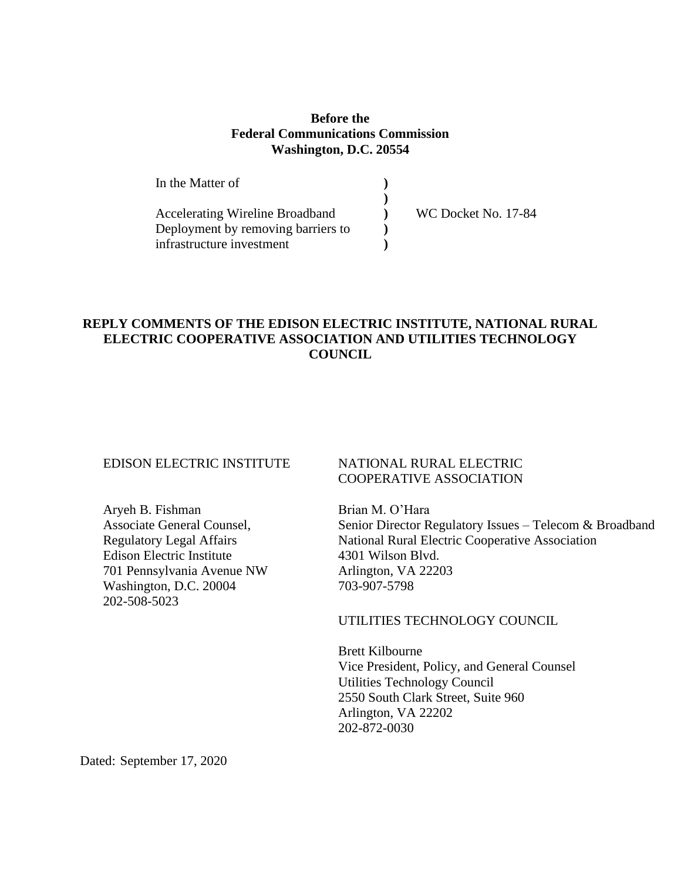## **Before the Federal Communications Commission Washington, D.C. 20554**

| In the Matter of                       |                     |
|----------------------------------------|---------------------|
|                                        |                     |
| <b>Accelerating Wireline Broadband</b> | WC Docket No. 17-84 |
| Deployment by removing barriers to     |                     |
| infrastructure investment              |                     |

## **REPLY COMMENTS OF THE EDISON ELECTRIC INSTITUTE, NATIONAL RURAL ELECTRIC COOPERATIVE ASSOCIATION AND UTILITIES TECHNOLOGY COUNCIL**

## EDISON ELECTRIC INSTITUTE

Aryeh B. Fishman Associate General Counsel, Regulatory Legal Affairs Edison Electric Institute 701 Pennsylvania Avenue NW Washington, D.C. 20004 202-508-5023

### NATIONAL RURAL ELECTRIC COOPERATIVE ASSOCIATION

Brian M. O'Hara Senior Director Regulatory Issues – Telecom & Broadband National Rural Electric Cooperative Association 4301 Wilson Blvd. Arlington, VA 22203 703-907-5798

### UTILITIES TECHNOLOGY COUNCIL

Brett Kilbourne Vice President, Policy, and General Counsel Utilities Technology Council 2550 South Clark Street, Suite 960 Arlington, VA 22202 202-872-0030

Dated: September 17, 2020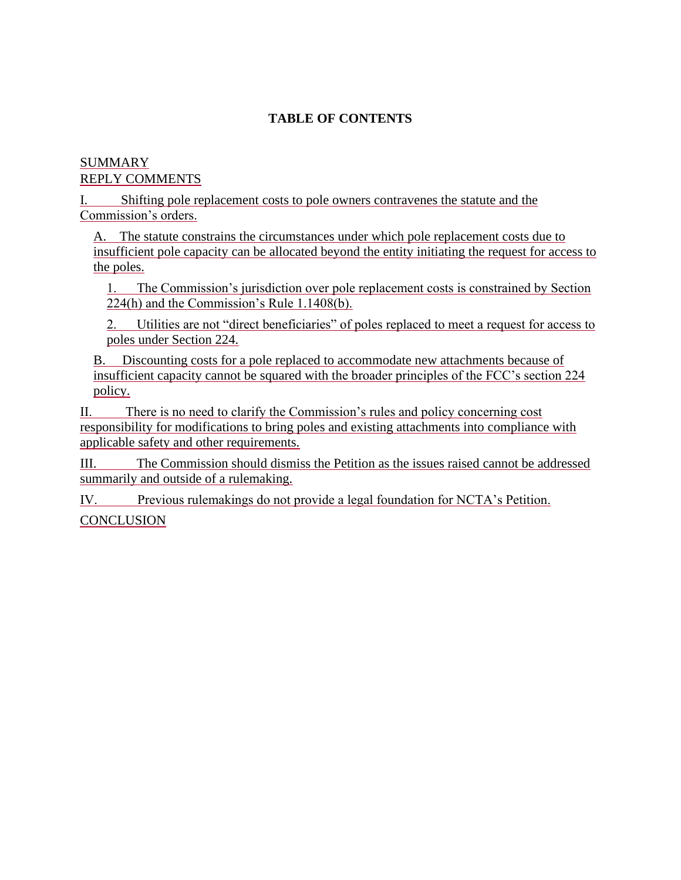# **TABLE OF CONTENTS**

## [SUMMARY](#page-2-0) REPLY COMMENTS

[I. Shifting pole replacement costs to pole owners contravenes the statute and the](#page-5-0)  [Commission's orders.](#page-5-0)

[A. The statute constrains the circumstances under which pole replacement costs due to](#page-6-0)  [insufficient pole capacity can be allocated beyond the entity initiating the request for access to](#page-6-0) [the poles.](#page-6-0)

[1. The Commission's jurisdiction over pole replacement costs is constrained by Section](#page-7-0)  [224\(h\) and the Commission's Rule 1.1408\(b\).](#page-7-0)

[2. Utilities are not "direct beneficiaries" of poles replaced to meet a request for access to](#page-9-0)  [poles under Section 224.](#page-9-0)

[B. Discounting costs for a pole replaced to accommodate new attachments because of](#page-10-0)  [insufficient capacity cannot be squared with the broader principles of the FCC's section 224](#page-10-0)  [policy.](#page-10-0)

[II. There is no need to clarify the Commission's rules and policy concerning cost](#page-11-0)  [responsibility for modifications to bring poles and existing attachments into compliance with](#page-11-0)  [applicable safety and other requirements.](#page-11-0)

[III. The Commission should dismiss the Petition as the issues raised cannot be addressed](#page-12-0)  [summarily and outside of a rulemaking.](#page-12-0)

[IV. Previous rulemakings do not provide a legal foundation for NCTA's Petition.](#page-14-0) **[CONCLUSION](#page-15-0)**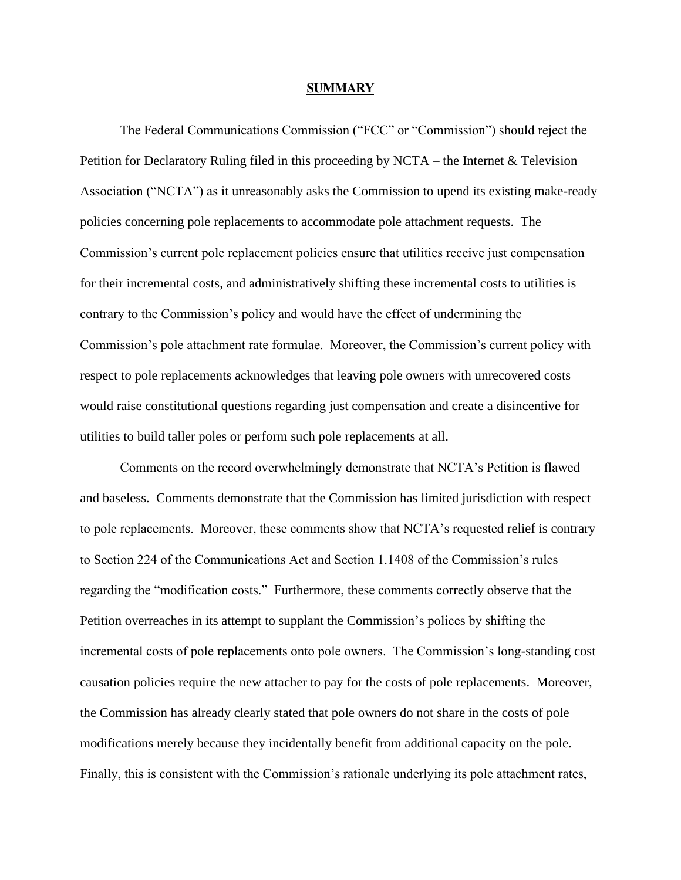#### **SUMMARY**

<span id="page-2-0"></span>The Federal Communications Commission ("FCC" or "Commission") should reject the Petition for Declaratory Ruling filed in this proceeding by NCTA – the Internet & Television Association ("NCTA") as it unreasonably asks the Commission to upend its existing make-ready policies concerning pole replacements to accommodate pole attachment requests. The Commission's current pole replacement policies ensure that utilities receive just compensation for their incremental costs, and administratively shifting these incremental costs to utilities is contrary to the Commission's policy and would have the effect of undermining the Commission's pole attachment rate formulae. Moreover, the Commission's current policy with respect to pole replacements acknowledges that leaving pole owners with unrecovered costs would raise constitutional questions regarding just compensation and create a disincentive for utilities to build taller poles or perform such pole replacements at all.

Comments on the record overwhelmingly demonstrate that NCTA's Petition is flawed and baseless. Comments demonstrate that the Commission has limited jurisdiction with respect to pole replacements. Moreover, these comments show that NCTA's requested relief is contrary to Section 224 of the Communications Act and Section 1.1408 of the Commission's rules regarding the "modification costs." Furthermore, these comments correctly observe that the Petition overreaches in its attempt to supplant the Commission's polices by shifting the incremental costs of pole replacements onto pole owners. The Commission's long-standing cost causation policies require the new attacher to pay for the costs of pole replacements. Moreover, the Commission has already clearly stated that pole owners do not share in the costs of pole modifications merely because they incidentally benefit from additional capacity on the pole. Finally, this is consistent with the Commission's rationale underlying its pole attachment rates,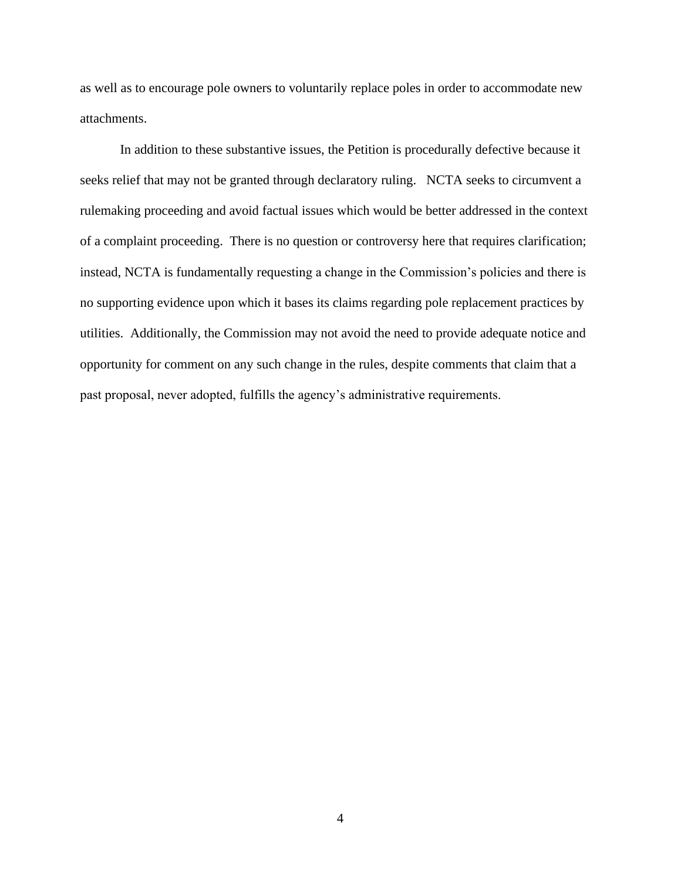as well as to encourage pole owners to voluntarily replace poles in order to accommodate new attachments.

In addition to these substantive issues, the Petition is procedurally defective because it seeks relief that may not be granted through declaratory ruling. NCTA seeks to circumvent a rulemaking proceeding and avoid factual issues which would be better addressed in the context of a complaint proceeding. There is no question or controversy here that requires clarification; instead, NCTA is fundamentally requesting a change in the Commission's policies and there is no supporting evidence upon which it bases its claims regarding pole replacement practices by utilities. Additionally, the Commission may not avoid the need to provide adequate notice and opportunity for comment on any such change in the rules, despite comments that claim that a past proposal, never adopted, fulfills the agency's administrative requirements.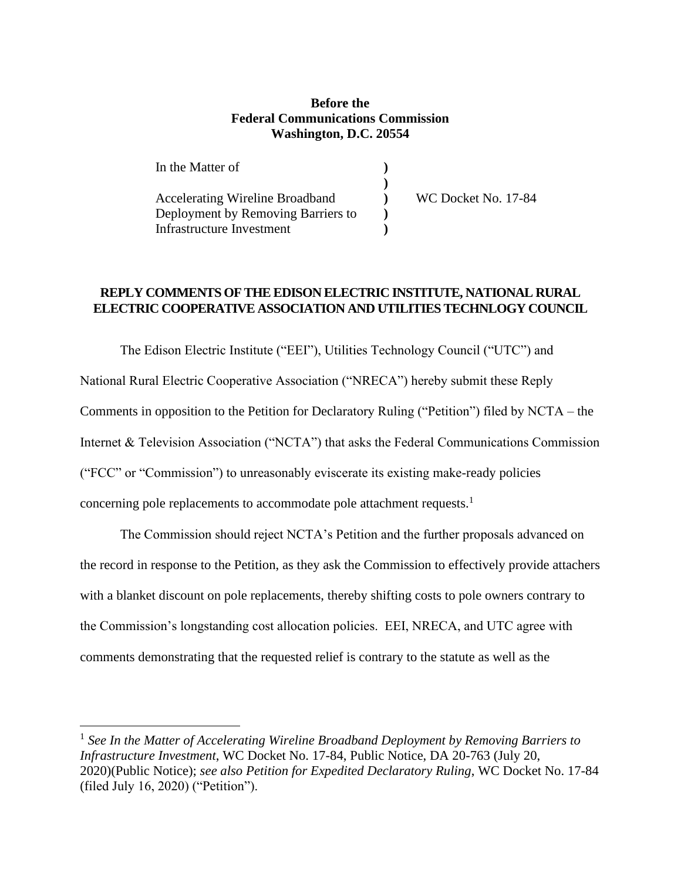### **Before the Federal Communications Commission Washington, D.C. 20554**

| In the Matter of                       |                     |
|----------------------------------------|---------------------|
|                                        |                     |
| <b>Accelerating Wireline Broadband</b> | WC Docket No. 17-84 |
| Deployment by Removing Barriers to     |                     |
| Infrastructure Investment              |                     |

## **REPLY COMMENTS OF THE EDISON ELECTRIC INSTITUTE, NATIONAL RURAL ELECTRIC COOPERATIVE ASSOCIATION AND UTILITIES TECHNLOGY COUNCIL**

The Edison Electric Institute ("EEI"), Utilities Technology Council ("UTC") and National Rural Electric Cooperative Association ("NRECA") hereby submit these Reply Comments in opposition to the Petition for Declaratory Ruling ("Petition") filed by NCTA – the Internet & Television Association ("NCTA") that asks the Federal Communications Commission ("FCC" or "Commission") to unreasonably eviscerate its existing make-ready policies concerning pole replacements to accommodate pole attachment requests.<sup>1</sup>

The Commission should reject NCTA's Petition and the further proposals advanced on the record in response to the Petition, as they ask the Commission to effectively provide attachers with a blanket discount on pole replacements, thereby shifting costs to pole owners contrary to the Commission's longstanding cost allocation policies. EEI, NRECA, and UTC agree with comments demonstrating that the requested relief is contrary to the statute as well as the

<sup>&</sup>lt;sup>1</sup> See In the Matter of Accelerating Wireline Broadband Deployment by Removing Barriers to *Infrastructure Investment*, WC Docket No. 17-84, Public Notice, DA 20-763 (July 20, 2020)(Public Notice); *see also Petition for Expedited Declaratory Ruling*, WC Docket No. 17-84 (filed July 16, 2020) ("Petition").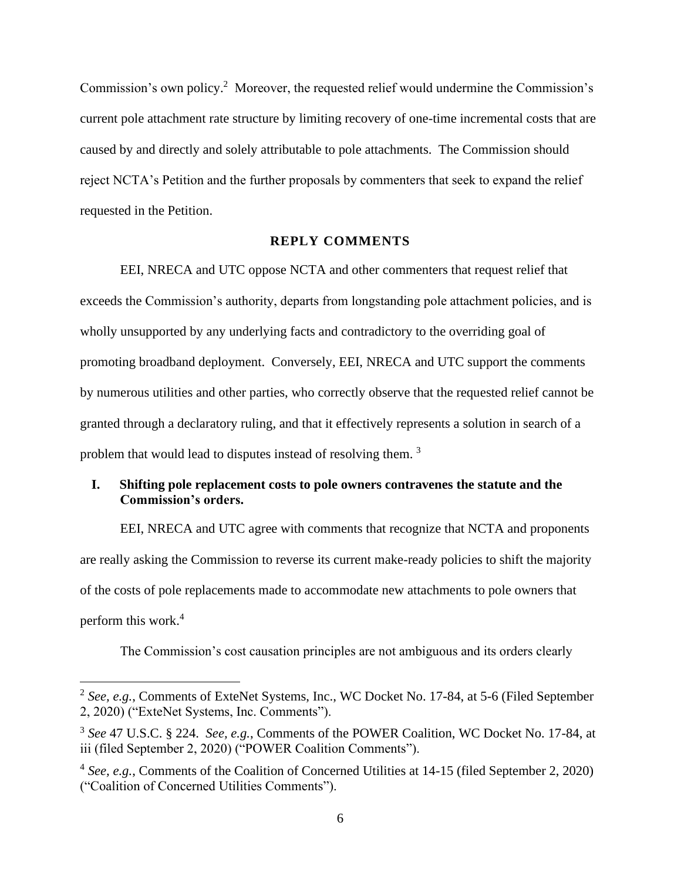Commission's own policy.<sup>2</sup> Moreover, the requested relief would undermine the Commission's current pole attachment rate structure by limiting recovery of one-time incremental costs that are caused by and directly and solely attributable to pole attachments. The Commission should reject NCTA's Petition and the further proposals by commenters that seek to expand the relief requested in the Petition.

### **REPLY COMMENTS**

EEI, NRECA and UTC oppose NCTA and other commenters that request relief that exceeds the Commission's authority, departs from longstanding pole attachment policies, and is wholly unsupported by any underlying facts and contradictory to the overriding goal of promoting broadband deployment. Conversely, EEI, NRECA and UTC support the comments by numerous utilities and other parties, who correctly observe that the requested relief cannot be granted through a declaratory ruling, and that it effectively represents a solution in search of a problem that would lead to disputes instead of resolving them. <sup>3</sup>

## <span id="page-5-0"></span>**I. Shifting pole replacement costs to pole owners contravenes the statute and the Commission's orders.**

EEI, NRECA and UTC agree with comments that recognize that NCTA and proponents are really asking the Commission to reverse its current make-ready policies to shift the majority of the costs of pole replacements made to accommodate new attachments to pole owners that perform this work.<sup>4</sup>

The Commission's cost causation principles are not ambiguous and its orders clearly

<sup>2</sup> *See, e.g.*, Comments of ExteNet Systems, Inc., WC Docket No. 17-84, at 5-6 (Filed September 2, 2020) ("ExteNet Systems, Inc. Comments").

<sup>3</sup> *See* 47 U.S.C. § 224. *See, e.g.*, Comments of the POWER Coalition, WC Docket No. 17-84, at iii (filed September 2, 2020) ("POWER Coalition Comments").

<sup>&</sup>lt;sup>4</sup> See, e.g., Comments of the Coalition of Concerned Utilities at 14-15 (filed September 2, 2020) ("Coalition of Concerned Utilities Comments").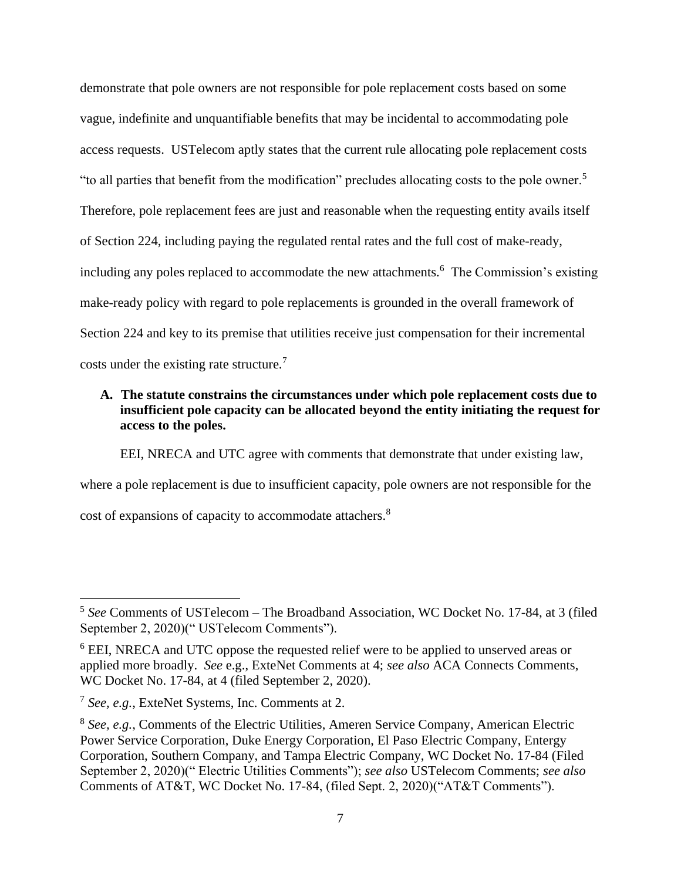demonstrate that pole owners are not responsible for pole replacement costs based on some vague, indefinite and unquantifiable benefits that may be incidental to accommodating pole access requests. USTelecom aptly states that the current rule allocating pole replacement costs "to all parties that benefit from the modification" precludes allocating costs to the pole owner.<sup>5</sup> Therefore, pole replacement fees are just and reasonable when the requesting entity avails itself of Section 224, including paying the regulated rental rates and the full cost of make-ready, including any poles replaced to accommodate the new attachments.<sup>6</sup> The Commission's existing make-ready policy with regard to pole replacements is grounded in the overall framework of Section 224 and key to its premise that utilities receive just compensation for their incremental costs under the existing rate structure.<sup>7</sup>

# <span id="page-6-0"></span>**A. The statute constrains the circumstances under which pole replacement costs due to insufficient pole capacity can be allocated beyond the entity initiating the request for access to the poles.**

EEI, NRECA and UTC agree with comments that demonstrate that under existing law,

where a pole replacement is due to insufficient capacity, pole owners are not responsible for the cost of expansions of capacity to accommodate attachers.<sup>8</sup>

<sup>5</sup> *See* Comments of USTelecom – The Broadband Association, WC Docket No. 17-84, at 3 (filed September 2, 2020)(" USTelecom Comments").

<sup>&</sup>lt;sup>6</sup> EEI, NRECA and UTC oppose the requested relief were to be applied to unserved areas or applied more broadly. *See* e.g., ExteNet Comments at 4; *see also* ACA Connects Comments, WC Docket No. 17-84, at 4 (filed September 2, 2020).

<sup>7</sup> *See, e.g.*, ExteNet Systems, Inc. Comments at 2.

<sup>&</sup>lt;sup>8</sup> See, e.g., Comments of the Electric Utilities, Ameren Service Company, American Electric Power Service Corporation, Duke Energy Corporation, El Paso Electric Company, Entergy Corporation, Southern Company, and Tampa Electric Company, WC Docket No. 17-84 (Filed September 2, 2020)(" Electric Utilities Comments"); *see also* USTelecom Comments; *see also* Comments of AT&T, WC Docket No. 17-84, (filed Sept. 2, 2020)("AT&T Comments").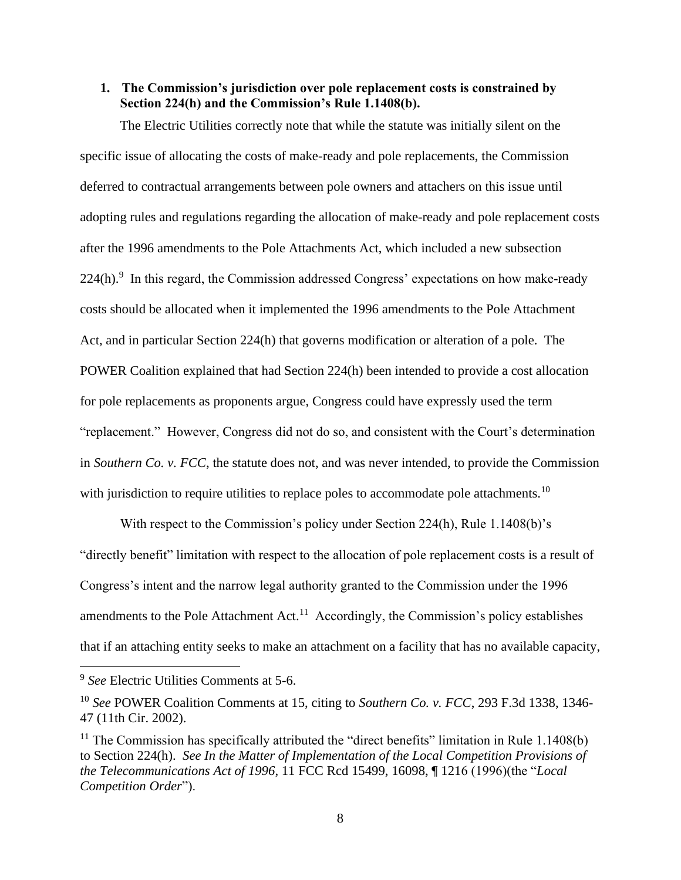## <span id="page-7-0"></span>**1. The Commission's jurisdiction over pole replacement costs is constrained by Section 224(h) and the Commission's Rule 1.1408(b).**

The Electric Utilities correctly note that while the statute was initially silent on the specific issue of allocating the costs of make-ready and pole replacements, the Commission deferred to contractual arrangements between pole owners and attachers on this issue until adopting rules and regulations regarding the allocation of make-ready and pole replacement costs after the 1996 amendments to the Pole Attachments Act, which included a new subsection  $224(h)$ .<sup>9</sup> In this regard, the Commission addressed Congress' expectations on how make-ready costs should be allocated when it implemented the 1996 amendments to the Pole Attachment Act, and in particular Section 224(h) that governs modification or alteration of a pole. The POWER Coalition explained that had Section 224(h) been intended to provide a cost allocation for pole replacements as proponents argue, Congress could have expressly used the term "replacement." However, Congress did not do so, and consistent with the Court's determination in *Southern Co. v. FCC*, the statute does not, and was never intended, to provide the Commission with jurisdiction to require utilities to replace poles to accommodate pole attachments.<sup>10</sup>

With respect to the Commission's policy under Section 224(h), Rule 1.1408(b)'s "directly benefit" limitation with respect to the allocation of pole replacement costs is a result of Congress's intent and the narrow legal authority granted to the Commission under the 1996 amendments to the Pole Attachment Act.<sup>11</sup> Accordingly, the Commission's policy establishes that if an attaching entity seeks to make an attachment on a facility that has no available capacity,

<sup>9</sup> *See* Electric Utilities Comments at 5-6.

<sup>10</sup> *See* POWER Coalition Comments at 15, citing to *Southern Co. v. FCC*, 293 F.3d 1338, 1346- 47 (11th Cir. 2002).

 $11$  The Commission has specifically attributed the "direct benefits" limitation in Rule 1.1408(b) to Section 224(h). *See In the Matter of Implementation of the Local Competition Provisions of the Telecommunications Act of 1996*, 11 FCC Rcd 15499, 16098, ¶ 1216 (1996)(the "*Local Competition Order*").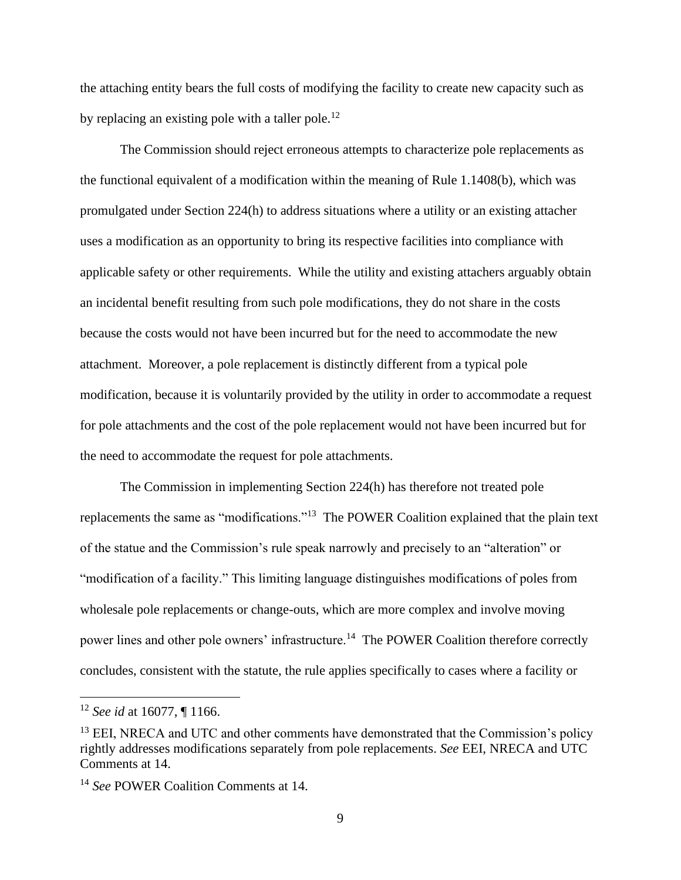the attaching entity bears the full costs of modifying the facility to create new capacity such as by replacing an existing pole with a taller pole.<sup>12</sup>

The Commission should reject erroneous attempts to characterize pole replacements as the functional equivalent of a modification within the meaning of Rule 1.1408(b), which was promulgated under Section 224(h) to address situations where a utility or an existing attacher uses a modification as an opportunity to bring its respective facilities into compliance with applicable safety or other requirements. While the utility and existing attachers arguably obtain an incidental benefit resulting from such pole modifications, they do not share in the costs because the costs would not have been incurred but for the need to accommodate the new attachment. Moreover, a pole replacement is distinctly different from a typical pole modification, because it is voluntarily provided by the utility in order to accommodate a request for pole attachments and the cost of the pole replacement would not have been incurred but for the need to accommodate the request for pole attachments.

The Commission in implementing Section 224(h) has therefore not treated pole replacements the same as "modifications."<sup>13</sup> The POWER Coalition explained that the plain text of the statue and the Commission's rule speak narrowly and precisely to an "alteration" or "modification of a facility." This limiting language distinguishes modifications of poles from wholesale pole replacements or change-outs, which are more complex and involve moving power lines and other pole owners' infrastructure.<sup>14</sup> The POWER Coalition therefore correctly concludes, consistent with the statute, the rule applies specifically to cases where a facility or

<sup>12</sup> *See id* at 16077, ¶ 1166.

<sup>&</sup>lt;sup>13</sup> EEI, NRECA and UTC and other comments have demonstrated that the Commission's policy rightly addresses modifications separately from pole replacements. *See* EEI, NRECA and UTC Comments at 14.

<sup>14</sup> *See* POWER Coalition Comments at 14.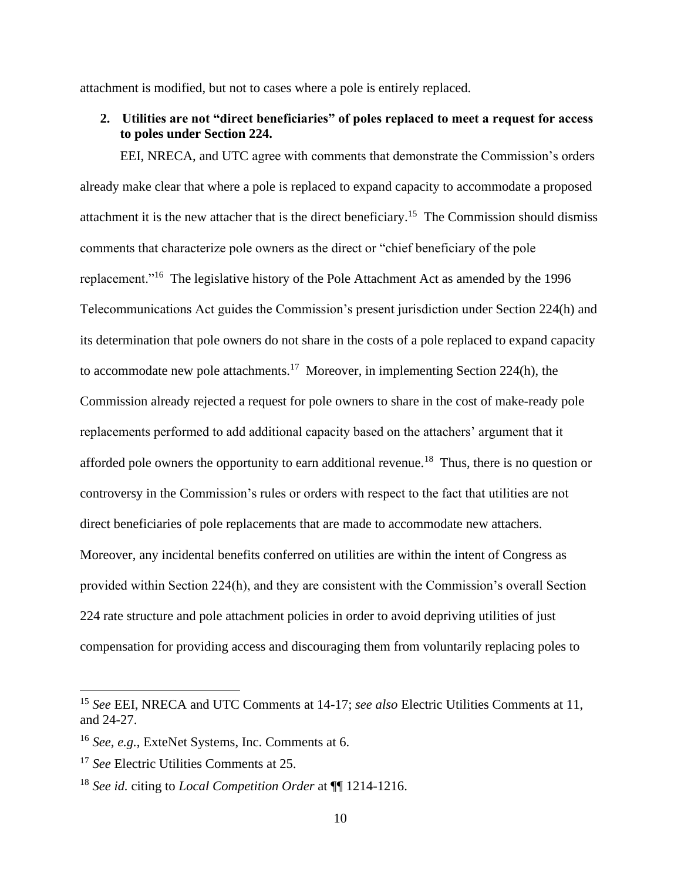attachment is modified, but not to cases where a pole is entirely replaced.

<span id="page-9-0"></span>**2. Utilities are not "direct beneficiaries" of poles replaced to meet a request for access to poles under Section 224.** 

EEI, NRECA, and UTC agree with comments that demonstrate the Commission's orders already make clear that where a pole is replaced to expand capacity to accommodate a proposed attachment it is the new attacher that is the direct beneficiary.<sup>15</sup> The Commission should dismiss comments that characterize pole owners as the direct or "chief beneficiary of the pole replacement."<sup>16</sup> The legislative history of the Pole Attachment Act as amended by the 1996 Telecommunications Act guides the Commission's present jurisdiction under Section 224(h) and its determination that pole owners do not share in the costs of a pole replaced to expand capacity to accommodate new pole attachments.<sup>17</sup> Moreover, in implementing Section 224(h), the Commission already rejected a request for pole owners to share in the cost of make-ready pole replacements performed to add additional capacity based on the attachers' argument that it afforded pole owners the opportunity to earn additional revenue.<sup>18</sup> Thus, there is no question or controversy in the Commission's rules or orders with respect to the fact that utilities are not direct beneficiaries of pole replacements that are made to accommodate new attachers. Moreover, any incidental benefits conferred on utilities are within the intent of Congress as provided within Section 224(h), and they are consistent with the Commission's overall Section 224 rate structure and pole attachment policies in order to avoid depriving utilities of just compensation for providing access and discouraging them from voluntarily replacing poles to

<sup>15</sup> *See* EEI, NRECA and UTC Comments at 14-17; *see also* Electric Utilities Comments at 11, and 24-27.

<sup>16</sup> *See, e.g.*, ExteNet Systems, Inc. Comments at 6.

<sup>17</sup> *See* Electric Utilities Comments at 25.

<sup>18</sup> *See id.* citing to *Local Competition Order* at ¶¶ 1214-1216.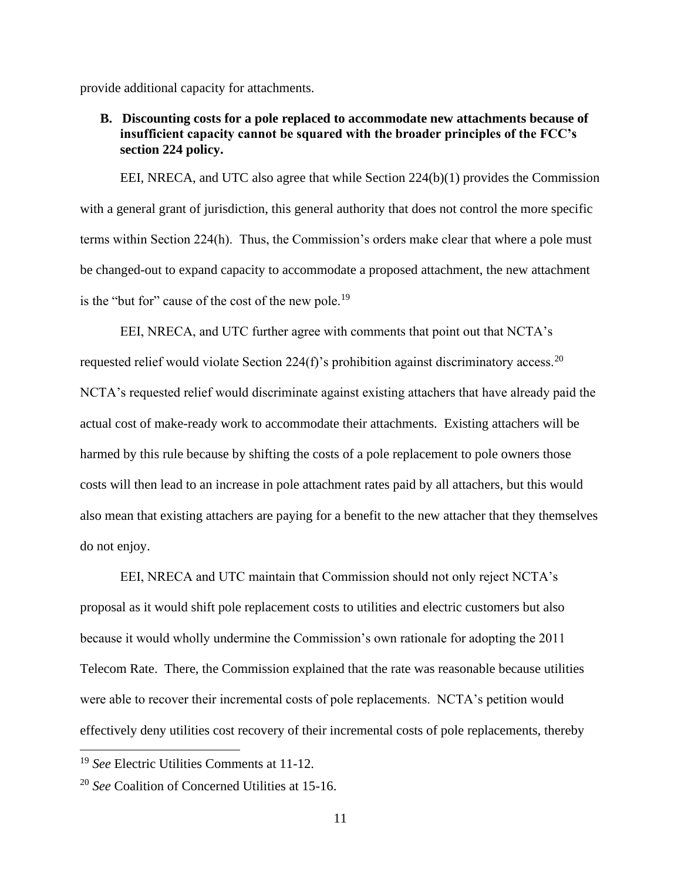provide additional capacity for attachments.

## <span id="page-10-0"></span>**B. Discounting costs for a pole replaced to accommodate new attachments because of insufficient capacity cannot be squared with the broader principles of the FCC's section 224 policy.**

EEI, NRECA, and UTC also agree that while Section 224(b)(1) provides the Commission with a general grant of jurisdiction, this general authority that does not control the more specific terms within Section 224(h). Thus, the Commission's orders make clear that where a pole must be changed-out to expand capacity to accommodate a proposed attachment, the new attachment is the "but for" cause of the cost of the new pole.<sup>19</sup>

EEI, NRECA, and UTC further agree with comments that point out that NCTA's requested relief would violate Section 224(f)'s prohibition against discriminatory access.<sup>20</sup> NCTA's requested relief would discriminate against existing attachers that have already paid the actual cost of make-ready work to accommodate their attachments. Existing attachers will be harmed by this rule because by shifting the costs of a pole replacement to pole owners those costs will then lead to an increase in pole attachment rates paid by all attachers, but this would also mean that existing attachers are paying for a benefit to the new attacher that they themselves do not enjoy.

EEI, NRECA and UTC maintain that Commission should not only reject NCTA's proposal as it would shift pole replacement costs to utilities and electric customers but also because it would wholly undermine the Commission's own rationale for adopting the 2011 Telecom Rate. There, the Commission explained that the rate was reasonable because utilities were able to recover their incremental costs of pole replacements. NCTA's petition would effectively deny utilities cost recovery of their incremental costs of pole replacements, thereby

<sup>19</sup> *See* Electric Utilities Comments at 11-12.

<sup>20</sup> *See* Coalition of Concerned Utilities at 15-16.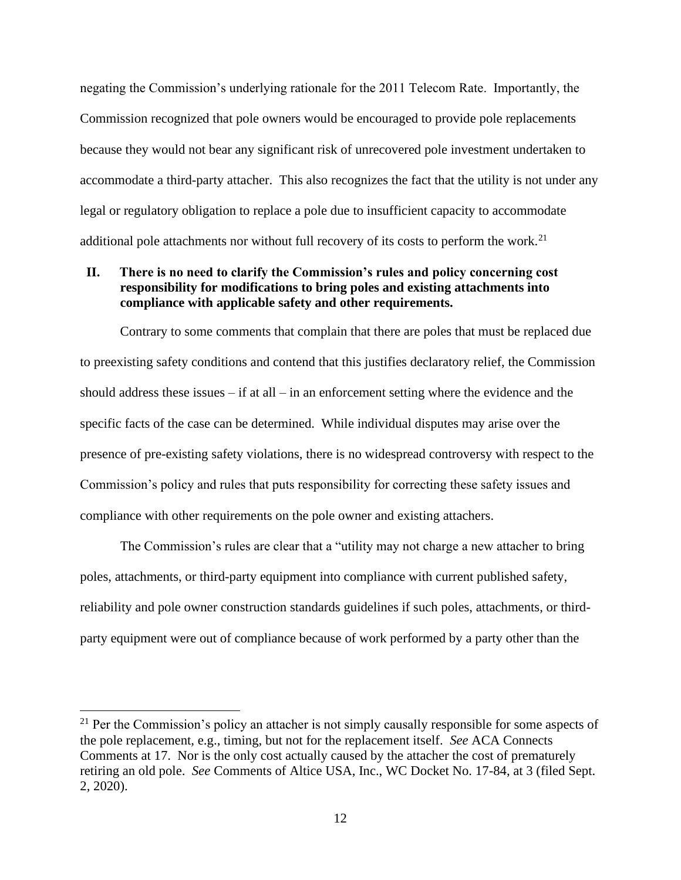negating the Commission's underlying rationale for the 2011 Telecom Rate. Importantly, the Commission recognized that pole owners would be encouraged to provide pole replacements because they would not bear any significant risk of unrecovered pole investment undertaken to accommodate a third-party attacher. This also recognizes the fact that the utility is not under any legal or regulatory obligation to replace a pole due to insufficient capacity to accommodate additional pole attachments nor without full recovery of its costs to perform the work.<sup>21</sup>

## <span id="page-11-0"></span>**II. There is no need to clarify the Commission's rules and policy concerning cost responsibility for modifications to bring poles and existing attachments into compliance with applicable safety and other requirements.**

Contrary to some comments that complain that there are poles that must be replaced due to preexisting safety conditions and contend that this justifies declaratory relief, the Commission should address these issues – if at all – in an enforcement setting where the evidence and the specific facts of the case can be determined. While individual disputes may arise over the presence of pre-existing safety violations, there is no widespread controversy with respect to the Commission's policy and rules that puts responsibility for correcting these safety issues and compliance with other requirements on the pole owner and existing attachers.

The Commission's rules are clear that a "utility may not charge a new attacher to bring poles, attachments, or third-party equipment into compliance with current published safety, reliability and pole owner construction standards guidelines if such poles, attachments, or thirdparty equipment were out of compliance because of work performed by a party other than the

 $21$  Per the Commission's policy an attacher is not simply causally responsible for some aspects of the pole replacement, e.g., timing, but not for the replacement itself. *See* ACA Connects Comments at 17. Nor is the only cost actually caused by the attacher the cost of prematurely retiring an old pole. *See* Comments of Altice USA, Inc., WC Docket No. 17-84, at 3 (filed Sept. 2, 2020).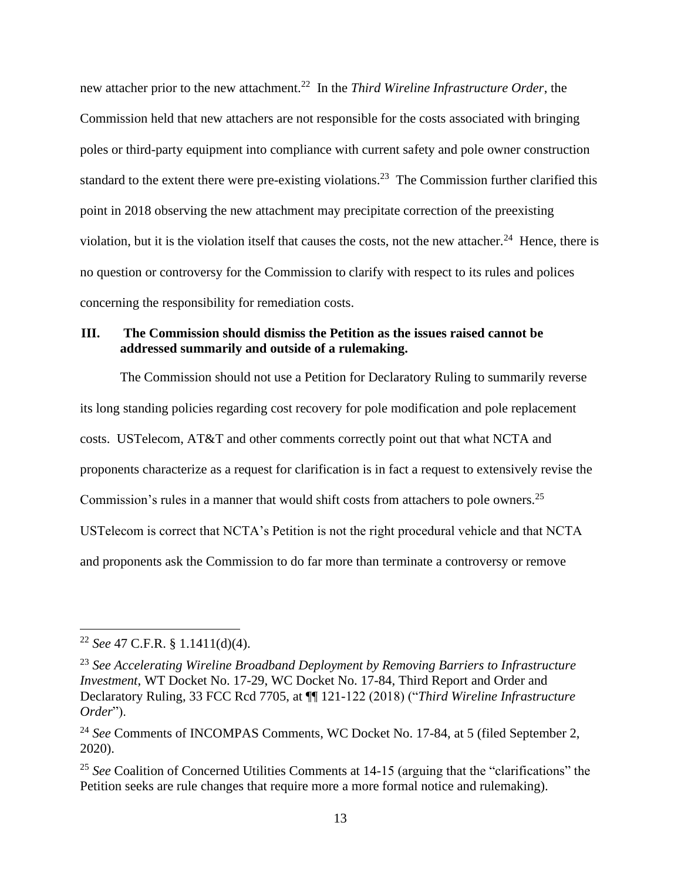new attacher prior to the new attachment.<sup>22</sup> In the *Third Wireline Infrastructure Order*, the Commission held that new attachers are not responsible for the costs associated with bringing poles or third-party equipment into compliance with current safety and pole owner construction standard to the extent there were pre-existing violations.<sup>23</sup> The Commission further clarified this point in 2018 observing the new attachment may precipitate correction of the preexisting violation, but it is the violation itself that causes the costs, not the new attacher.<sup>24</sup> Hence, there is no question or controversy for the Commission to clarify with respect to its rules and polices concerning the responsibility for remediation costs.

## <span id="page-12-0"></span>**III. The Commission should dismiss the Petition as the issues raised cannot be addressed summarily and outside of a rulemaking.**

The Commission should not use a Petition for Declaratory Ruling to summarily reverse its long standing policies regarding cost recovery for pole modification and pole replacement costs. USTelecom, AT&T and other comments correctly point out that what NCTA and proponents characterize as a request for clarification is in fact a request to extensively revise the Commission's rules in a manner that would shift costs from attachers to pole owners.<sup>25</sup> USTelecom is correct that NCTA's Petition is not the right procedural vehicle and that NCTA and proponents ask the Commission to do far more than terminate a controversy or remove

<sup>22</sup> *See* 47 C.F.R. § 1.1411(d)(4).

<sup>23</sup> *See Accelerating Wireline Broadband Deployment by Removing Barriers to Infrastructure Investment*, WT Docket No. 17-29, WC Docket No. 17-84, Third Report and Order and Declaratory Ruling, 33 FCC Rcd 7705, at ¶¶ 121-122 (2018) ("*Third Wireline Infrastructure Order*").

<sup>24</sup> *See* Comments of INCOMPAS Comments, WC Docket No. 17-84, at 5 (filed September 2, 2020).

<sup>&</sup>lt;sup>25</sup> See Coalition of Concerned Utilities Comments at 14-15 (arguing that the "clarifications" the Petition seeks are rule changes that require more a more formal notice and rulemaking).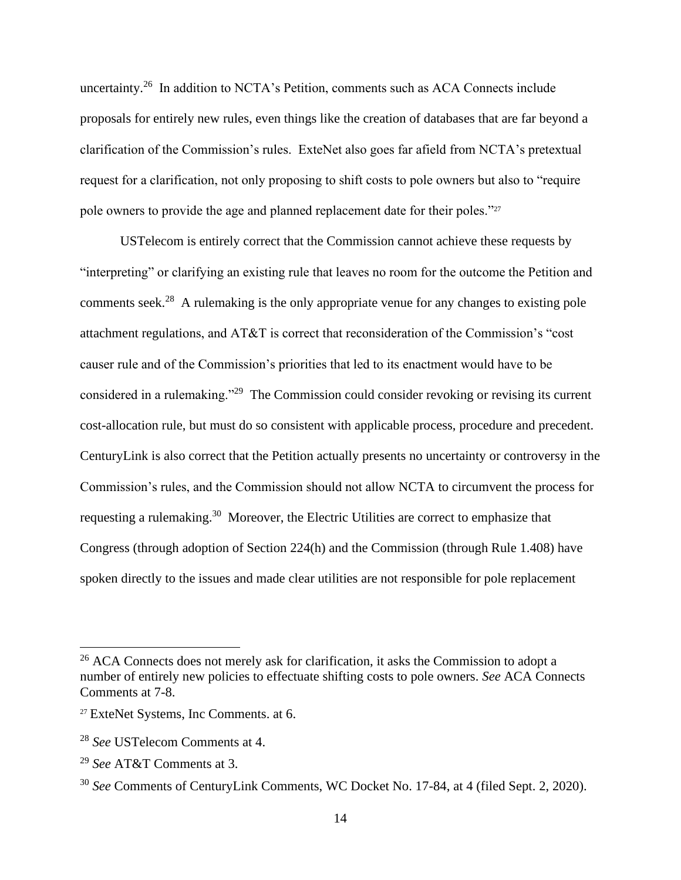uncertainty.<sup>26</sup> In addition to NCTA's Petition, comments such as ACA Connects include proposals for entirely new rules, even things like the creation of databases that are far beyond a clarification of the Commission's rules. ExteNet also goes far afield from NCTA's pretextual request for a clarification, not only proposing to shift costs to pole owners but also to "require pole owners to provide the age and planned replacement date for their poles."<sup>27</sup>

USTelecom is entirely correct that the Commission cannot achieve these requests by "interpreting" or clarifying an existing rule that leaves no room for the outcome the Petition and comments seek.<sup>28</sup> A rulemaking is the only appropriate venue for any changes to existing pole attachment regulations, and AT&T is correct that reconsideration of the Commission's "cost causer rule and of the Commission's priorities that led to its enactment would have to be considered in a rulemaking."<sup>29</sup> The Commission could consider revoking or revising its current cost-allocation rule, but must do so consistent with applicable process, procedure and precedent. CenturyLink is also correct that the Petition actually presents no uncertainty or controversy in the Commission's rules, and the Commission should not allow NCTA to circumvent the process for requesting a rulemaking.<sup>30</sup> Moreover, the Electric Utilities are correct to emphasize that Congress (through adoption of Section 224(h) and the Commission (through Rule 1.408) have spoken directly to the issues and made clear utilities are not responsible for pole replacement

<sup>&</sup>lt;sup>26</sup> ACA Connects does not merely ask for clarification, it asks the Commission to adopt a number of entirely new policies to effectuate shifting costs to pole owners. *See* ACA Connects Comments at 7-8.

<sup>27</sup> ExteNet Systems, Inc Comments. at 6.

<sup>28</sup> *See* USTelecom Comments at 4.

<sup>29</sup> *See* AT&T Comments at 3.

<sup>30</sup> *See* Comments of CenturyLink Comments, WC Docket No. 17-84, at 4 (filed Sept. 2, 2020).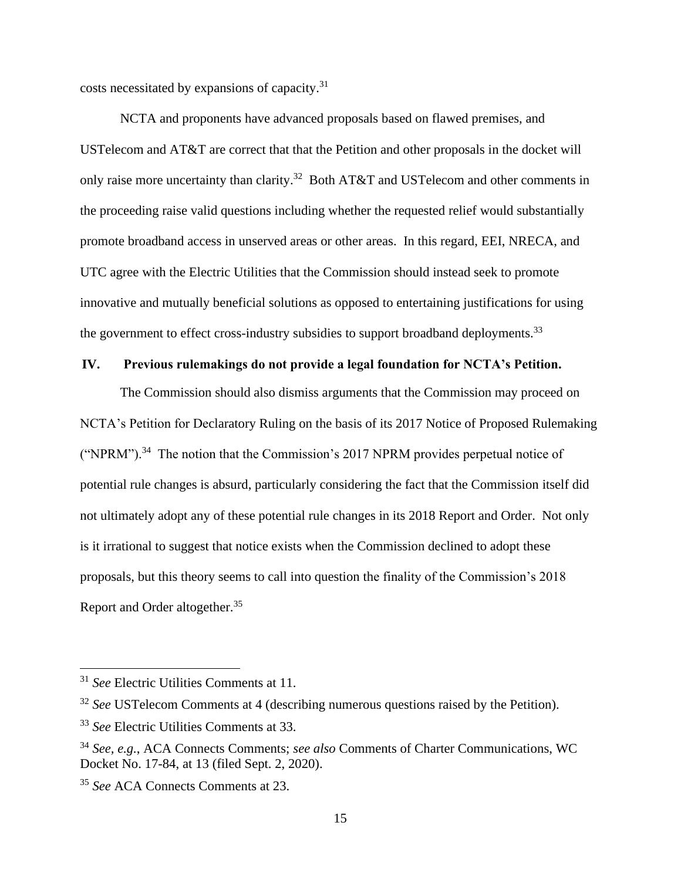costs necessitated by expansions of capacity.<sup>31</sup>

NCTA and proponents have advanced proposals based on flawed premises, and USTelecom and AT&T are correct that that the Petition and other proposals in the docket will only raise more uncertainty than clarity.<sup>32</sup> Both AT&T and USTelecom and other comments in the proceeding raise valid questions including whether the requested relief would substantially promote broadband access in unserved areas or other areas. In this regard, EEI, NRECA, and UTC agree with the Electric Utilities that the Commission should instead seek to promote innovative and mutually beneficial solutions as opposed to entertaining justifications for using the government to effect cross-industry subsidies to support broadband deployments.<sup>33</sup>

# <span id="page-14-0"></span>**IV. Previous rulemakings do not provide a legal foundation for NCTA's Petition.**

The Commission should also dismiss arguments that the Commission may proceed on NCTA's Petition for Declaratory Ruling on the basis of its 2017 Notice of Proposed Rulemaking ("NPRM").<sup>34</sup> The notion that the Commission's 2017 NPRM provides perpetual notice of potential rule changes is absurd, particularly considering the fact that the Commission itself did not ultimately adopt any of these potential rule changes in its 2018 Report and Order. Not only is it irrational to suggest that notice exists when the Commission declined to adopt these proposals, but this theory seems to call into question the finality of the Commission's 2018 Report and Order altogether.<sup>35</sup>

<sup>31</sup> *See* Electric Utilities Comments at 11.

<sup>&</sup>lt;sup>32</sup> *See* UST elecom Comments at 4 (describing numerous questions raised by the Petition).

<sup>33</sup> *See* Electric Utilities Comments at 33.

<sup>34</sup> *See, e.g.*, ACA Connects Comments; *see also* Comments of Charter Communications, WC Docket No. 17-84, at 13 (filed Sept. 2, 2020).

<sup>35</sup> *See* ACA Connects Comments at 23.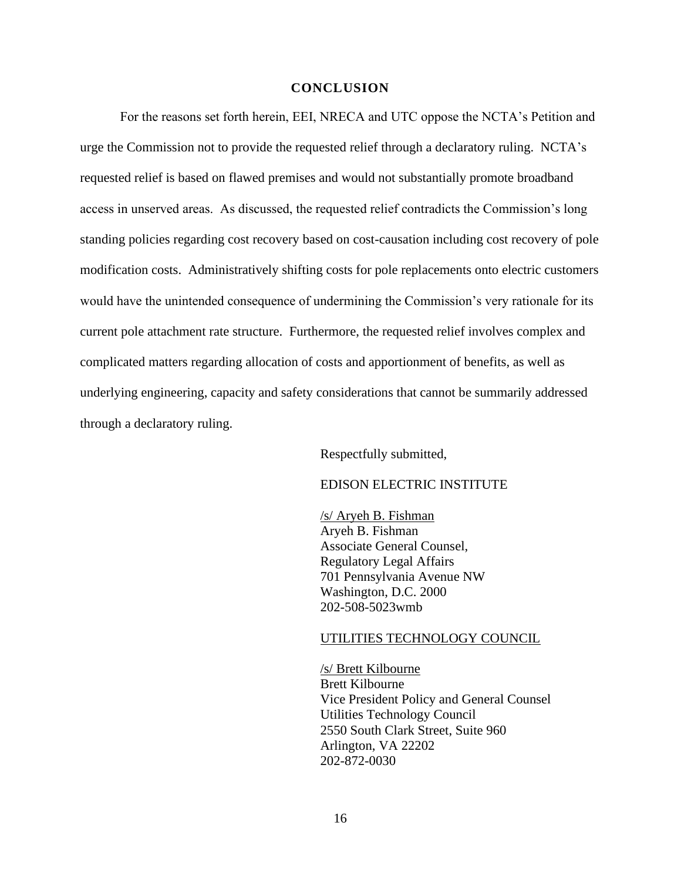#### **CONCLUSION**

<span id="page-15-0"></span>For the reasons set forth herein, EEI, NRECA and UTC oppose the NCTA's Petition and urge the Commission not to provide the requested relief through a declaratory ruling. NCTA's requested relief is based on flawed premises and would not substantially promote broadband access in unserved areas. As discussed, the requested relief contradicts the Commission's long standing policies regarding cost recovery based on cost-causation including cost recovery of pole modification costs. Administratively shifting costs for pole replacements onto electric customers would have the unintended consequence of undermining the Commission's very rationale for its current pole attachment rate structure. Furthermore, the requested relief involves complex and complicated matters regarding allocation of costs and apportionment of benefits, as well as underlying engineering, capacity and safety considerations that cannot be summarily addressed through a declaratory ruling.

Respectfully submitted,

#### EDISON ELECTRIC INSTITUTE

/s/ Aryeh B. Fishman Aryeh B. Fishman Associate General Counsel, Regulatory Legal Affairs 701 Pennsylvania Avenue NW Washington, D.C. 2000 202-508-5023wmb

#### UTILITIES TECHNOLOGY COUNCIL

/s/ Brett Kilbourne Brett Kilbourne Vice President Policy and General Counsel Utilities Technology Council 2550 South Clark Street, Suite 960 Arlington, VA 22202 202-872-0030